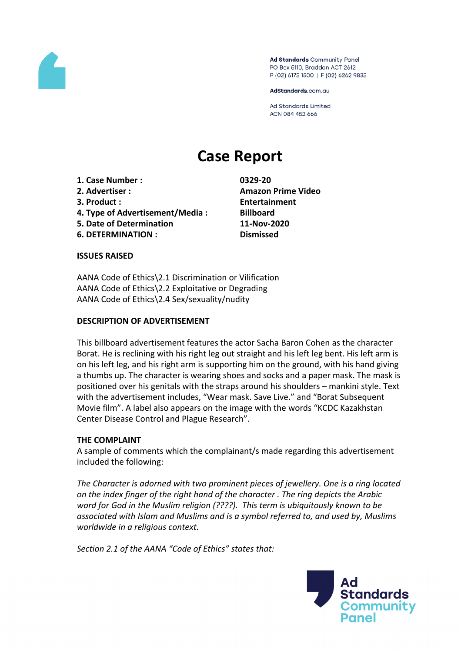

Ad Standards Community Panel PO Box 5110, Braddon ACT 2612 P (02) 6173 1500 | F (02) 6262 9833

AdStandards.com.au

**Ad Standards Limited** ACN 084 452 666

# **Case Report**

- **1. Case Number : 0329-20**
- 
- 
- **4. Type of Advertisement/Media : Billboard**
- **5. Date of Determination 11-Nov-2020**
- **6. DETERMINATION : Dismissed**

**2. Advertiser : Amazon Prime Video 3. Product : Entertainment**

#### **ISSUES RAISED**

AANA Code of Ethics\2.1 Discrimination or Vilification AANA Code of Ethics\2.2 Exploitative or Degrading AANA Code of Ethics\2.4 Sex/sexuality/nudity

#### **DESCRIPTION OF ADVERTISEMENT**

This billboard advertisement features the actor Sacha Baron Cohen as the character Borat. He is reclining with his right leg out straight and his left leg bent. His left arm is on his left leg, and his right arm is supporting him on the ground, with his hand giving a thumbs up. The character is wearing shoes and socks and a paper mask. The mask is positioned over his genitals with the straps around his shoulders – mankini style. Text with the advertisement includes, "Wear mask. Save Live." and "Borat Subsequent Movie film". A label also appears on the image with the words "KCDC Kazakhstan Center Disease Control and Plague Research".

# **THE COMPLAINT**

A sample of comments which the complainant/s made regarding this advertisement included the following:

*The Character is adorned with two prominent pieces of jewellery. One is a ring located on the index finger of the right hand of the character . The ring depicts the Arabic word for God in the Muslim religion (????). This term is ubiquitously known to be associated with Islam and Muslims and is a symbol referred to, and used by, Muslims worldwide in a religious context.*

*Section 2.1 of the AANA "Code of Ethics" states that:*

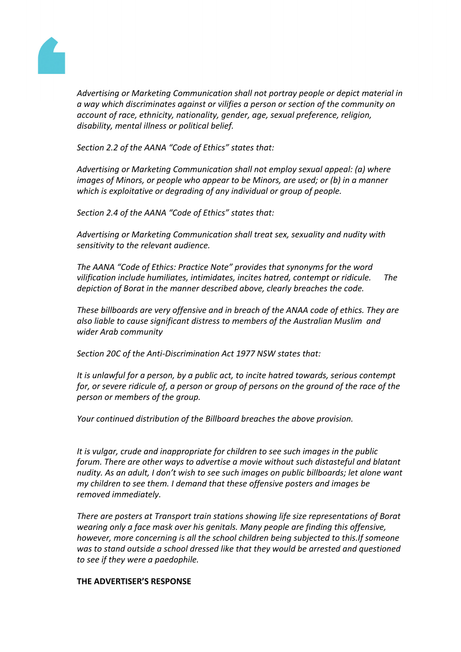

*Advertising or Marketing Communication shall not portray people or depict material in a way which discriminates against or vilifies a person or section of the community on account of race, ethnicity, nationality, gender, age, sexual preference, religion, disability, mental illness or political belief.*

*Section 2.2 of the AANA "Code of Ethics" states that:*

*Advertising or Marketing Communication shall not employ sexual appeal: (a) where images of Minors, or people who appear to be Minors, are used; or (b) in a manner which is exploitative or degrading of any individual or group of people.*

*Section 2.4 of the AANA "Code of Ethics" states that:*

*Advertising or Marketing Communication shall treat sex, sexuality and nudity with sensitivity to the relevant audience.*

*The AANA "Code of Ethics: Practice Note" provides that synonyms for the word vilification include humiliates, intimidates, incites hatred, contempt or ridicule. The depiction of Borat in the manner described above, clearly breaches the code.*

*These billboards are very offensive and in breach of the ANAA code of ethics. They are also liable to cause significant distress to members of the Australian Muslim and wider Arab community*

*Section 20C of the Anti-Discrimination Act 1977 NSW states that:*

*It is unlawful for a person, by a public act, to incite hatred towards, serious contempt for, or severe ridicule of, a person or group of persons on the ground of the race of the person or members of the group.*

*Your continued distribution of the Billboard breaches the above provision.*

*It is vulgar, crude and inappropriate for children to see such images in the public forum. There are other ways to advertise a movie without such distasteful and blatant nudity. As an adult, I don't wish to see such images on public billboards; let alone want my children to see them. I demand that these offensive posters and images be removed immediately.*

*There are posters at Transport train stations showing life size representations of Borat wearing only a face mask over his genitals. Many people are finding this offensive, however, more concerning is all the school children being subjected to this.If someone was to stand outside a school dressed like that they would be arrested and questioned to see if they were a paedophile.*

#### **THE ADVERTISER'S RESPONSE**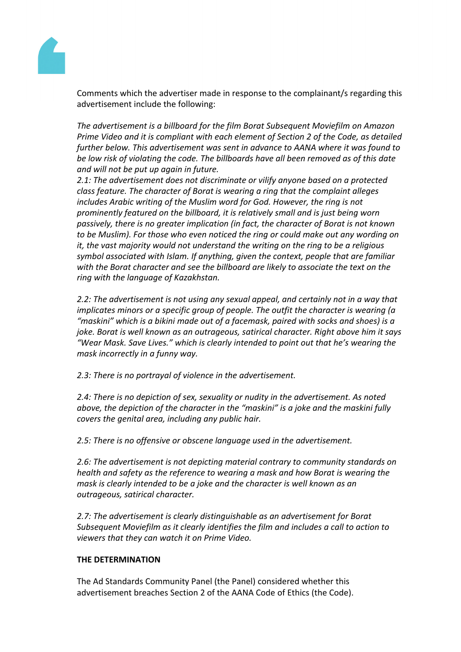

Comments which the advertiser made in response to the complainant/s regarding this advertisement include the following:

*The advertisement is a billboard for the film Borat Subsequent Moviefilm on Amazon Prime Video and it is compliant with each element of Section 2 of the Code, as detailed further below. This advertisement was sent in advance to AANA where it was found to be low risk of violating the code. The billboards have all been removed as of this date and will not be put up again in future.* 

*2.1: The advertisement does not discriminate or vilify anyone based on a protected class feature. The character of Borat is wearing a ring that the complaint alleges includes Arabic writing of the Muslim word for God. However, the ring is not prominently featured on the billboard, it is relatively small and is just being worn passively, there is no greater implication (in fact, the character of Borat is not known to be Muslim). For those who even noticed the ring or could make out any wording on it, the vast majority would not understand the writing on the ring to be a religious symbol associated with Islam. If anything, given the context, people that are familiar with the Borat character and see the billboard are likely to associate the text on the ring with the language of Kazakhstan.*

*2.2: The advertisement is not using any sexual appeal, and certainly not in a way that implicates minors or a specific group of people. The outfit the character is wearing (a "maskini" which is a bikini made out of a facemask, paired with socks and shoes) is a joke. Borat is well known as an outrageous, satirical character. Right above him it says "Wear Mask. Save Lives." which is clearly intended to point out that he's wearing the mask incorrectly in a funny way.*

*2.3: There is no portrayal of violence in the advertisement.* 

*2.4: There is no depiction of sex, sexuality or nudity in the advertisement. As noted above, the depiction of the character in the "maskini" is a joke and the maskini fully covers the genital area, including any public hair.* 

*2.5: There is no offensive or obscene language used in the advertisement.*

*2.6: The advertisement is not depicting material contrary to community standards on health and safety as the reference to wearing a mask and how Borat is wearing the mask is clearly intended to be a joke and the character is well known as an outrageous, satirical character.*

*2.7: The advertisement is clearly distinguishable as an advertisement for Borat Subsequent Moviefilm as it clearly identifies the film and includes a call to action to viewers that they can watch it on Prime Video.*

#### **THE DETERMINATION**

The Ad Standards Community Panel (the Panel) considered whether this advertisement breaches Section 2 of the AANA Code of Ethics (the Code).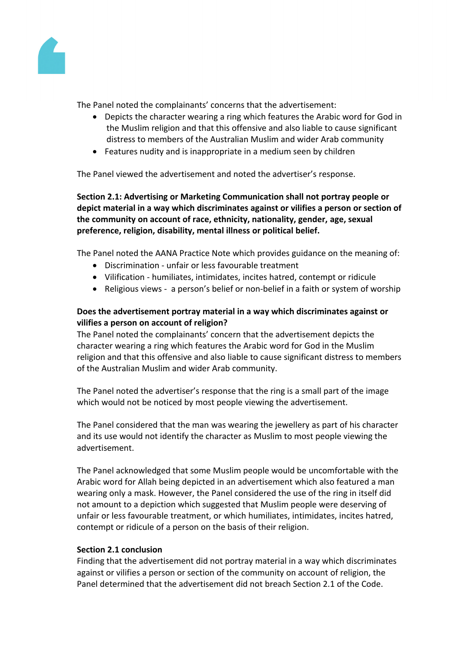

The Panel noted the complainants' concerns that the advertisement:

- Depicts the character wearing a ring which features the Arabic word for God in the Muslim religion and that this offensive and also liable to cause significant distress to members of the Australian Muslim and wider Arab community
- Features nudity and is inappropriate in a medium seen by children

The Panel viewed the advertisement and noted the advertiser's response.

**Section 2.1: Advertising or Marketing Communication shall not portray people or depict material in a way which discriminates against or vilifies a person or section of the community on account of race, ethnicity, nationality, gender, age, sexual preference, religion, disability, mental illness or political belief.**

The Panel noted the AANA Practice Note which provides guidance on the meaning of:

- Discrimination unfair or less favourable treatment
- Vilification humiliates, intimidates, incites hatred, contempt or ridicule
- Religious views a person's belief or non-belief in a faith or system of worship

# **Does the advertisement portray material in a way which discriminates against or vilifies a person on account of religion?**

The Panel noted the complainants' concern that the advertisement depicts the character wearing a ring which features the Arabic word for God in the Muslim religion and that this offensive and also liable to cause significant distress to members of the Australian Muslim and wider Arab community.

The Panel noted the advertiser's response that the ring is a small part of the image which would not be noticed by most people viewing the advertisement.

The Panel considered that the man was wearing the jewellery as part of his character and its use would not identify the character as Muslim to most people viewing the advertisement.

The Panel acknowledged that some Muslim people would be uncomfortable with the Arabic word for Allah being depicted in an advertisement which also featured a man wearing only a mask. However, the Panel considered the use of the ring in itself did not amount to a depiction which suggested that Muslim people were deserving of unfair or less favourable treatment, or which humiliates, intimidates, incites hatred, contempt or ridicule of a person on the basis of their religion.

# **Section 2.1 conclusion**

Finding that the advertisement did not portray material in a way which discriminates against or vilifies a person or section of the community on account of religion, the Panel determined that the advertisement did not breach Section 2.1 of the Code.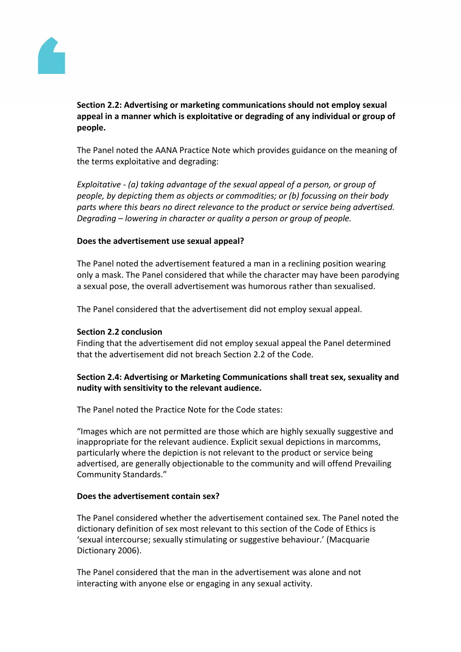

# **Section 2.2: Advertising or marketing communications should not employ sexual appeal in a manner which is exploitative or degrading of any individual or group of people.**

The Panel noted the AANA Practice Note which provides guidance on the meaning of the terms exploitative and degrading:

*Exploitative - (a) taking advantage of the sexual appeal of a person, or group of people, by depicting them as objects or commodities; or (b) focussing on their body parts where this bears no direct relevance to the product or service being advertised. Degrading – lowering in character or quality a person or group of people.*

#### **Does the advertisement use sexual appeal?**

The Panel noted the advertisement featured a man in a reclining position wearing only a mask. The Panel considered that while the character may have been parodying a sexual pose, the overall advertisement was humorous rather than sexualised.

The Panel considered that the advertisement did not employ sexual appeal.

# **Section 2.2 conclusion**

Finding that the advertisement did not employ sexual appeal the Panel determined that the advertisement did not breach Section 2.2 of the Code.

## **Section 2.4: Advertising or Marketing Communications shall treat sex, sexuality and nudity with sensitivity to the relevant audience.**

The Panel noted the Practice Note for the Code states:

"Images which are not permitted are those which are highly sexually suggestive and inappropriate for the relevant audience. Explicit sexual depictions in marcomms, particularly where the depiction is not relevant to the product or service being advertised, are generally objectionable to the community and will offend Prevailing Community Standards."

#### **Does the advertisement contain sex?**

The Panel considered whether the advertisement contained sex. The Panel noted the dictionary definition of sex most relevant to this section of the Code of Ethics is 'sexual intercourse; sexually stimulating or suggestive behaviour.' (Macquarie Dictionary 2006).

The Panel considered that the man in the advertisement was alone and not interacting with anyone else or engaging in any sexual activity.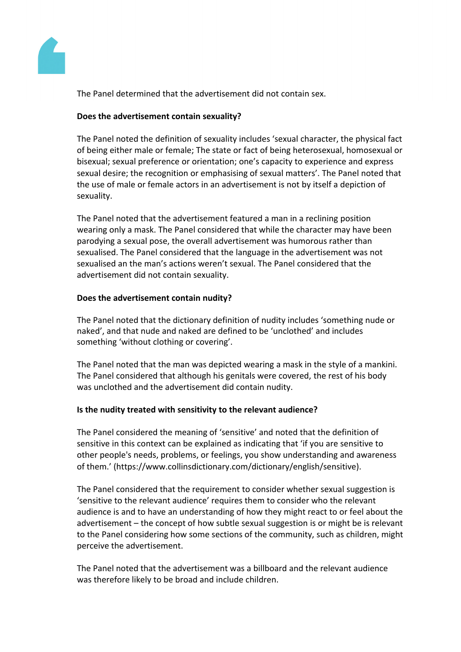

The Panel determined that the advertisement did not contain sex.

## **Does the advertisement contain sexuality?**

The Panel noted the definition of sexuality includes 'sexual character, the physical fact of being either male or female; The state or fact of being heterosexual, homosexual or bisexual; sexual preference or orientation; one's capacity to experience and express sexual desire; the recognition or emphasising of sexual matters'. The Panel noted that the use of male or female actors in an advertisement is not by itself a depiction of sexuality.

The Panel noted that the advertisement featured a man in a reclining position wearing only a mask. The Panel considered that while the character may have been parodying a sexual pose, the overall advertisement was humorous rather than sexualised. The Panel considered that the language in the advertisement was not sexualised an the man's actions weren't sexual. The Panel considered that the advertisement did not contain sexuality.

## **Does the advertisement contain nudity?**

The Panel noted that the dictionary definition of nudity includes 'something nude or naked', and that nude and naked are defined to be 'unclothed' and includes something 'without clothing or covering'.

The Panel noted that the man was depicted wearing a mask in the style of a mankini. The Panel considered that although his genitals were covered, the rest of his body was unclothed and the advertisement did contain nudity.

#### **Is the nudity treated with sensitivity to the relevant audience?**

The Panel considered the meaning of 'sensitive' and noted that the definition of sensitive in this context can be explained as indicating that 'if you are sensitive to other people's needs, problems, or feelings, you show understanding and awareness of them.' (https://www.collinsdictionary.com/dictionary/english/sensitive).

The Panel considered that the requirement to consider whether sexual suggestion is 'sensitive to the relevant audience' requires them to consider who the relevant audience is and to have an understanding of how they might react to or feel about the advertisement – the concept of how subtle sexual suggestion is or might be is relevant to the Panel considering how some sections of the community, such as children, might perceive the advertisement.

The Panel noted that the advertisement was a billboard and the relevant audience was therefore likely to be broad and include children.